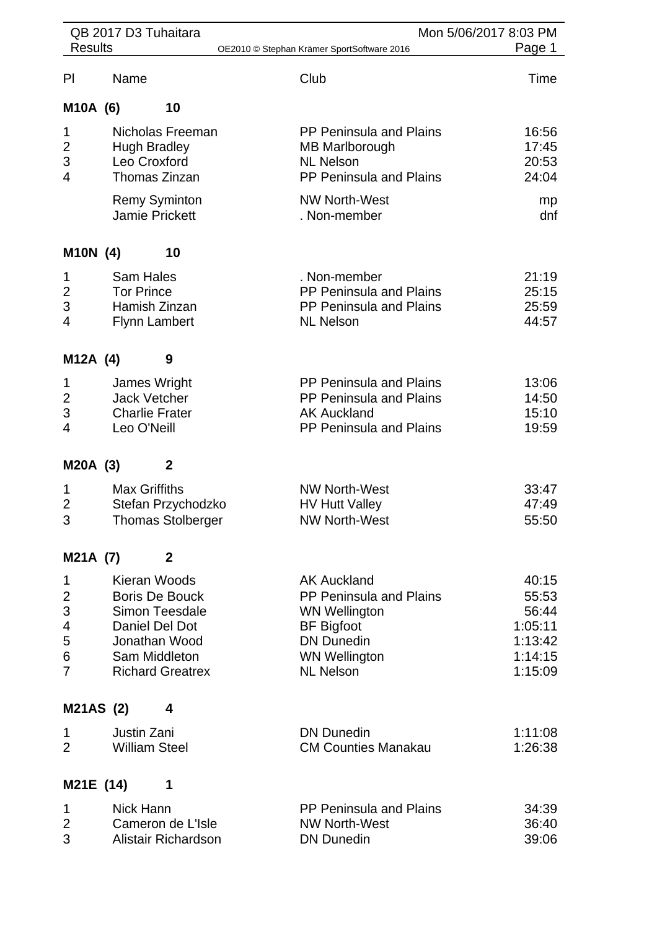|                                              | QB 2017 D3 Tuhaitara                                                           |                                                                                                                               |                                                                                                                                                             | Mon 5/06/2017 8:03 PM                                               |
|----------------------------------------------|--------------------------------------------------------------------------------|-------------------------------------------------------------------------------------------------------------------------------|-------------------------------------------------------------------------------------------------------------------------------------------------------------|---------------------------------------------------------------------|
| <b>Results</b>                               |                                                                                |                                                                                                                               | OE2010 © Stephan Krämer SportSoftware 2016                                                                                                                  | Page 1                                                              |
| PI                                           | Name                                                                           |                                                                                                                               | Club                                                                                                                                                        | Time                                                                |
| M10A (6)                                     |                                                                                | 10                                                                                                                            |                                                                                                                                                             |                                                                     |
| 1<br>$\overline{2}$<br>3<br>4                | <b>Hugh Bradley</b><br>Leo Croxford<br>Jamie Prickett                          | Nicholas Freeman<br>Thomas Zinzan<br><b>Remy Syminton</b>                                                                     | <b>PP Peninsula and Plains</b><br><b>MB Marlborough</b><br><b>NL Nelson</b><br>PP Peninsula and Plains<br><b>NW North-West</b><br>. Non-member              | 16:56<br>17:45<br>20:53<br>24:04<br>mp<br>dnf                       |
| M10N (4)                                     |                                                                                | 10                                                                                                                            |                                                                                                                                                             |                                                                     |
| 1<br>$\overline{2}$<br>3<br>4                | <b>Sam Hales</b><br><b>Tor Prince</b><br>Hamish Zinzan<br><b>Flynn Lambert</b> |                                                                                                                               | . Non-member<br>PP Peninsula and Plains<br><b>PP Peninsula and Plains</b><br><b>NL Nelson</b>                                                               | 21:19<br>25:15<br>25:59<br>44:57                                    |
| M12A (4)                                     |                                                                                | 9                                                                                                                             |                                                                                                                                                             |                                                                     |
| 1<br>$\overline{2}$<br>3<br>4                | James Wright<br><b>Jack Vetcher</b><br><b>Charlie Frater</b><br>Leo O'Neill    |                                                                                                                               | PP Peninsula and Plains<br>PP Peninsula and Plains<br><b>AK Auckland</b><br>PP Peninsula and Plains                                                         | 13:06<br>14:50<br>15:10<br>19:59                                    |
| M20A (3)                                     |                                                                                | $\mathbf 2$                                                                                                                   |                                                                                                                                                             |                                                                     |
| 1<br>$\overline{2}$<br>3                     | <b>Max Griffiths</b>                                                           | Stefan Przychodzko<br><b>Thomas Stolberger</b>                                                                                | <b>NW North-West</b><br><b>HV Hutt Valley</b><br><b>NW North-West</b>                                                                                       | 33:47<br>47:49<br>55:50                                             |
| M21A (7)                                     |                                                                                | $\mathbf 2$                                                                                                                   |                                                                                                                                                             |                                                                     |
| 1<br>2<br>3<br>4<br>5<br>6<br>$\overline{7}$ | Kieran Woods                                                                   | <b>Boris De Bouck</b><br><b>Simon Teesdale</b><br>Daniel Del Dot<br>Jonathan Wood<br>Sam Middleton<br><b>Richard Greatrex</b> | <b>AK Auckland</b><br>PP Peninsula and Plains<br><b>WN Wellington</b><br><b>BF Bigfoot</b><br><b>DN Dunedin</b><br><b>WN Wellington</b><br><b>NL Nelson</b> | 40:15<br>55:53<br>56:44<br>1:05:11<br>1:13:42<br>1:14:15<br>1:15:09 |
| M21AS (2)                                    |                                                                                | 4                                                                                                                             |                                                                                                                                                             |                                                                     |
| 1<br>$\overline{2}$                          | Justin Zani<br><b>William Steel</b>                                            |                                                                                                                               | <b>DN Dunedin</b><br><b>CM Counties Manakau</b>                                                                                                             | 1:11:08<br>1:26:38                                                  |
| M21E (14)                                    |                                                                                | 1                                                                                                                             |                                                                                                                                                             |                                                                     |
| 1<br>2<br>3                                  | <b>Nick Hann</b>                                                               | Cameron de L'Isle<br>Alistair Richardson                                                                                      | <b>PP Peninsula and Plains</b><br><b>NW North-West</b><br><b>DN Dunedin</b>                                                                                 | 34:39<br>36:40<br>39:06                                             |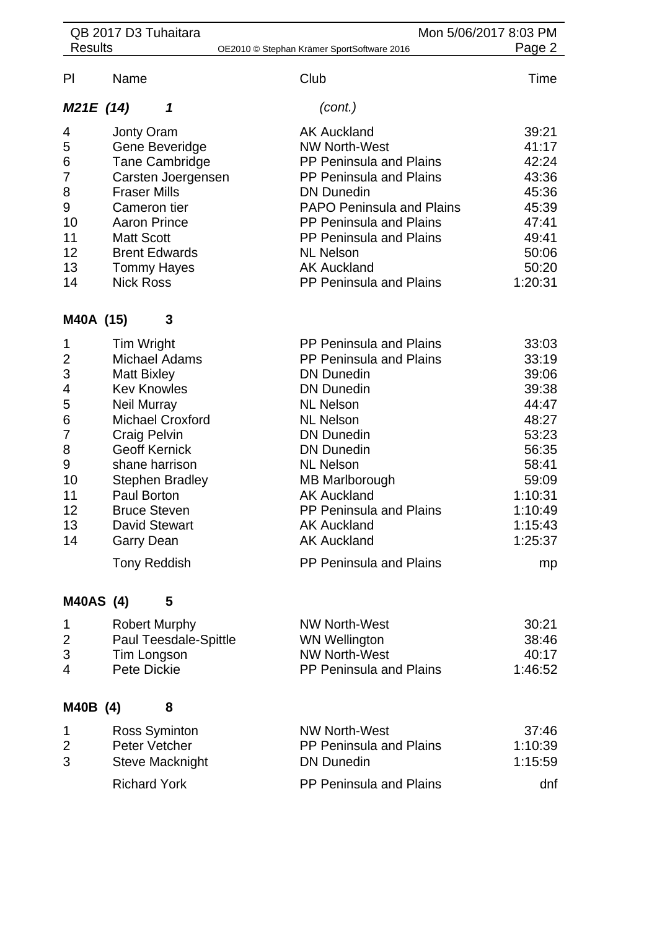| QB 2017 D3 Tuhaitara<br>Mon 5/06/2017 8:03 PM |                         |                                            |         |
|-----------------------------------------------|-------------------------|--------------------------------------------|---------|
| <b>Results</b>                                |                         | OE2010 © Stephan Krämer SportSoftware 2016 | Page 2  |
| PI                                            | Name                    | Club                                       | Time    |
| M21E (14)                                     | 1                       | (cont.)                                    |         |
| 4                                             | <b>Jonty Oram</b>       | <b>AK Auckland</b>                         | 39:21   |
| 5                                             | Gene Beveridge          | <b>NW North-West</b>                       | 41:17   |
| 6                                             | <b>Tane Cambridge</b>   | <b>PP Peninsula and Plains</b>             | 42:24   |
| 7                                             | Carsten Joergensen      | PP Peninsula and Plains                    | 43:36   |
| 8                                             | <b>Fraser Mills</b>     | <b>DN Dunedin</b>                          | 45:36   |
| 9                                             | Cameron tier            | <b>PAPO Peninsula and Plains</b>           | 45:39   |
| 10                                            | <b>Aaron Prince</b>     | <b>PP Peninsula and Plains</b>             | 47:41   |
| 11                                            | <b>Matt Scott</b>       | <b>PP Peninsula and Plains</b>             | 49:41   |
| 12                                            | <b>Brent Edwards</b>    | <b>NL Nelson</b>                           | 50:06   |
| 13                                            | <b>Tommy Hayes</b>      | <b>AK Auckland</b>                         | 50:20   |
| 14                                            | <b>Nick Ross</b>        | PP Peninsula and Plains                    | 1:20:31 |
| M40A (15)                                     | 3                       |                                            |         |
| 1                                             | Tim Wright              | <b>PP Peninsula and Plains</b>             | 33:03   |
| $\overline{2}$                                | <b>Michael Adams</b>    | PP Peninsula and Plains                    | 33:19   |
| 3                                             | <b>Matt Bixley</b>      | <b>DN Dunedin</b>                          | 39:06   |
| 4                                             | <b>Kev Knowles</b>      | <b>DN Dunedin</b>                          | 39:38   |
| 5                                             | <b>Neil Murray</b>      | <b>NL Nelson</b>                           | 44:47   |
| 6                                             | <b>Michael Croxford</b> | <b>NL Nelson</b>                           | 48:27   |
| 7                                             | <b>Craig Pelvin</b>     | <b>DN Dunedin</b>                          | 53:23   |
| 8                                             | <b>Geoff Kernick</b>    | <b>DN Dunedin</b>                          | 56:35   |
| 9                                             | shane harrison          | <b>NL Nelson</b>                           | 58:41   |
| 10                                            | <b>Stephen Bradley</b>  | MB Marlborough                             | 59:09   |
| 11                                            | Paul Borton             | <b>AK Auckland</b>                         | 1:10:31 |
| 12                                            | <b>Bruce Steven</b>     | PP Peninsula and Plains                    | 1:10:49 |
| 13                                            | <b>David Stewart</b>    | <b>AK Auckland</b>                         | 1:15:43 |
| 14                                            |                         | <b>AK Auckland</b>                         | 1:25:37 |
|                                               | <b>Garry Dean</b>       | PP Peninsula and Plains                    |         |
|                                               | <b>Tony Reddish</b>     |                                            | mp      |
| <b>M40AS (4)</b>                              | 5                       |                                            |         |
| 1                                             | <b>Robert Murphy</b>    | <b>NW North-West</b>                       | 30:21   |
| 2                                             | Paul Teesdale-Spittle   | <b>WN Wellington</b>                       | 38:46   |
| 3                                             | Tim Longson             | <b>NW North-West</b>                       | 40:17   |
| $\overline{4}$                                | <b>Pete Dickie</b>      | <b>PP Peninsula and Plains</b>             | 1:46:52 |
| M40B (4)                                      | 8                       |                                            |         |
| 1                                             | <b>Ross Syminton</b>    | <b>NW North-West</b>                       | 37:46   |
| 2                                             | Peter Vetcher           | <b>PP Peninsula and Plains</b>             | 1:10:39 |
| 3                                             | <b>Steve Macknight</b>  | <b>DN Dunedin</b>                          | 1:15:59 |
|                                               |                         |                                            |         |
|                                               | <b>Richard York</b>     | <b>PP Peninsula and Plains</b>             | dnf     |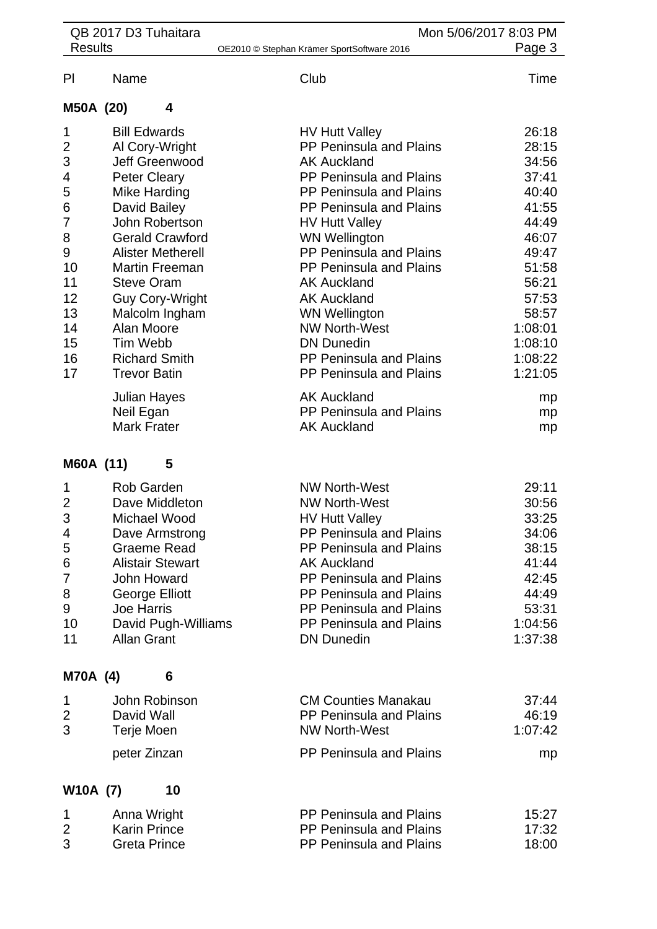| <b>Results</b>                                                                                         | QB 2017 D3 Tuhaitara                                                                                                                                                                                                                                                                                                                                      | Mon 5/06/2017 8:03 PM<br>OE2010 © Stephan Krämer SportSoftware 2016                                                                                                                                                                                                                                                                                                                                                                                        | Page 3                                                                                                                                                        |
|--------------------------------------------------------------------------------------------------------|-----------------------------------------------------------------------------------------------------------------------------------------------------------------------------------------------------------------------------------------------------------------------------------------------------------------------------------------------------------|------------------------------------------------------------------------------------------------------------------------------------------------------------------------------------------------------------------------------------------------------------------------------------------------------------------------------------------------------------------------------------------------------------------------------------------------------------|---------------------------------------------------------------------------------------------------------------------------------------------------------------|
| PI                                                                                                     | Name                                                                                                                                                                                                                                                                                                                                                      | Club                                                                                                                                                                                                                                                                                                                                                                                                                                                       | Time                                                                                                                                                          |
| M50A (20)                                                                                              | 4                                                                                                                                                                                                                                                                                                                                                         |                                                                                                                                                                                                                                                                                                                                                                                                                                                            |                                                                                                                                                               |
| 1<br>$\overline{2}$<br>3<br>4<br>5<br>6<br>7<br>8<br>9<br>10<br>11<br>12<br>13<br>14<br>15<br>16<br>17 | <b>Bill Edwards</b><br>Al Cory-Wright<br>Jeff Greenwood<br><b>Peter Cleary</b><br>Mike Harding<br>David Bailey<br>John Robertson<br><b>Gerald Crawford</b><br><b>Alister Metherell</b><br><b>Martin Freeman</b><br><b>Steve Oram</b><br><b>Guy Cory-Wright</b><br>Malcolm Ingham<br>Alan Moore<br>Tim Webb<br><b>Richard Smith</b><br><b>Trevor Batin</b> | <b>HV Hutt Valley</b><br>PP Peninsula and Plains<br><b>AK Auckland</b><br><b>PP Peninsula and Plains</b><br>PP Peninsula and Plains<br><b>PP Peninsula and Plains</b><br><b>HV Hutt Valley</b><br><b>WN Wellington</b><br>PP Peninsula and Plains<br>PP Peninsula and Plains<br><b>AK Auckland</b><br><b>AK Auckland</b><br><b>WN Wellington</b><br><b>NW North-West</b><br><b>DN Dunedin</b><br>PP Peninsula and Plains<br><b>PP Peninsula and Plains</b> | 26:18<br>28:15<br>34:56<br>37:41<br>40:40<br>41:55<br>44:49<br>46:07<br>49:47<br>51:58<br>56:21<br>57:53<br>58:57<br>1:08:01<br>1:08:10<br>1:08:22<br>1:21:05 |
|                                                                                                        | Julian Hayes<br>Neil Egan<br><b>Mark Frater</b>                                                                                                                                                                                                                                                                                                           | <b>AK Auckland</b><br>PP Peninsula and Plains<br><b>AK Auckland</b>                                                                                                                                                                                                                                                                                                                                                                                        | mp<br>mp<br>mp                                                                                                                                                |
| M60A (11)                                                                                              | 5                                                                                                                                                                                                                                                                                                                                                         |                                                                                                                                                                                                                                                                                                                                                                                                                                                            |                                                                                                                                                               |
| $\overline{2}$<br>3<br>4<br>5<br>6<br>7<br>8<br>9<br>10<br>11                                          | <b>Rob Garden</b><br>Dave Middleton<br>Michael Wood<br>Dave Armstrong<br><b>Graeme Read</b><br><b>Alistair Stewart</b><br><b>John Howard</b><br>George Elliott<br><b>Joe Harris</b><br>David Pugh-Williams<br><b>Allan Grant</b>                                                                                                                          | <b>NW North-West</b><br><b>NW North-West</b><br><b>HV Hutt Valley</b><br>PP Peninsula and Plains<br>PP Peninsula and Plains<br><b>AK Auckland</b><br>PP Peninsula and Plains<br>PP Peninsula and Plains<br>PP Peninsula and Plains<br><b>PP Peninsula and Plains</b><br><b>DN Dunedin</b>                                                                                                                                                                  | 29:11<br>30:56<br>33:25<br>34:06<br>38:15<br>41:44<br>42:45<br>44:49<br>53:31<br>1:04:56<br>1:37:38                                                           |
| M70A (4)                                                                                               | 6                                                                                                                                                                                                                                                                                                                                                         |                                                                                                                                                                                                                                                                                                                                                                                                                                                            |                                                                                                                                                               |
| 1<br>2<br>3                                                                                            | John Robinson<br>David Wall<br>Terje Moen<br>peter Zinzan                                                                                                                                                                                                                                                                                                 | <b>CM Counties Manakau</b><br>PP Peninsula and Plains<br><b>NW North-West</b><br>PP Peninsula and Plains                                                                                                                                                                                                                                                                                                                                                   | 37:44<br>46:19<br>1:07:42<br>mp                                                                                                                               |
| W10A (7)                                                                                               | 10                                                                                                                                                                                                                                                                                                                                                        |                                                                                                                                                                                                                                                                                                                                                                                                                                                            |                                                                                                                                                               |
| 1<br>$\overline{2}$<br>3                                                                               | Anna Wright<br><b>Karin Prince</b><br><b>Greta Prince</b>                                                                                                                                                                                                                                                                                                 | <b>PP Peninsula and Plains</b><br>PP Peninsula and Plains<br>PP Peninsula and Plains                                                                                                                                                                                                                                                                                                                                                                       | 15:27<br>17:32<br>18:00                                                                                                                                       |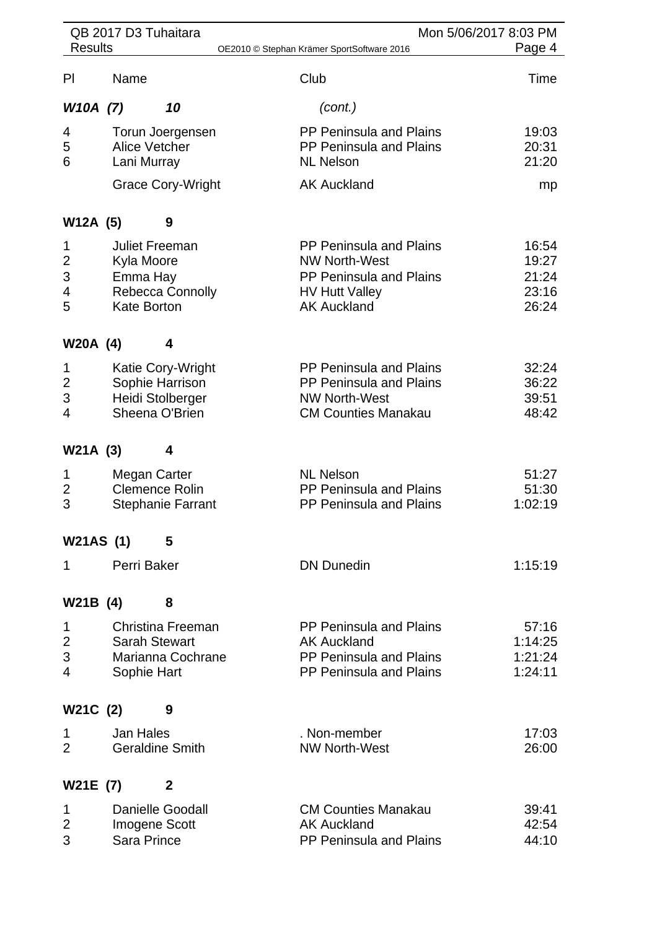| QB 2017 D3 Tuhaitara          |                                                                                                  |                                                                                                                                  | Mon 5/06/2017 8:03 PM                     |
|-------------------------------|--------------------------------------------------------------------------------------------------|----------------------------------------------------------------------------------------------------------------------------------|-------------------------------------------|
| <b>Results</b>                |                                                                                                  | OE2010 © Stephan Krämer SportSoftware 2016                                                                                       | Page 4                                    |
| PI                            | Name                                                                                             | Club                                                                                                                             | Time                                      |
| W10A (7)                      | 10                                                                                               | (cont.)                                                                                                                          |                                           |
| 4<br>5<br>6                   | Torun Joergensen<br>Alice Vetcher<br>Lani Murray<br><b>Grace Cory-Wright</b>                     | PP Peninsula and Plains<br><b>PP Peninsula and Plains</b><br><b>NL Nelson</b><br><b>AK Auckland</b>                              | 19:03<br>20:31<br>21:20<br>mp             |
|                               |                                                                                                  |                                                                                                                                  |                                           |
| W12A (5)                      | 9                                                                                                |                                                                                                                                  |                                           |
| 1<br>2<br>3<br>4<br>5         | <b>Juliet Freeman</b><br>Kyla Moore<br>Emma Hay<br><b>Rebecca Connolly</b><br><b>Kate Borton</b> | <b>PP Peninsula and Plains</b><br><b>NW North-West</b><br>PP Peninsula and Plains<br><b>HV Hutt Valley</b><br><b>AK Auckland</b> | 16:54<br>19:27<br>21:24<br>23:16<br>26:24 |
| W20A (4)                      | 4                                                                                                |                                                                                                                                  |                                           |
| 1<br>$\overline{2}$<br>3<br>4 | Katie Cory-Wright<br>Sophie Harrison<br>Heidi Stolberger<br>Sheena O'Brien                       | PP Peninsula and Plains<br>PP Peninsula and Plains<br><b>NW North-West</b><br><b>CM Counties Manakau</b>                         | 32:24<br>36:22<br>39:51<br>48:42          |
| W21A (3)                      | 4                                                                                                |                                                                                                                                  |                                           |
| 1<br>$\overline{2}$<br>3      | Megan Carter<br><b>Clemence Rolin</b><br><b>Stephanie Farrant</b>                                | <b>NL Nelson</b><br>PP Peninsula and Plains<br><b>PP Peninsula and Plains</b>                                                    | 51:27<br>51:30<br>1:02:19                 |
| <b>W21AS (1)</b>              | 5                                                                                                |                                                                                                                                  |                                           |
| 1                             | Perri Baker                                                                                      | <b>DN Dunedin</b>                                                                                                                | 1:15:19                                   |
| W21B (4)                      | 8                                                                                                |                                                                                                                                  |                                           |
| 1<br>$\overline{2}$<br>3<br>4 | Christina Freeman<br><b>Sarah Stewart</b><br>Marianna Cochrane<br>Sophie Hart                    | <b>PP Peninsula and Plains</b><br><b>AK Auckland</b><br>PP Peninsula and Plains<br>PP Peninsula and Plains                       | 57:16<br>1:14:25<br>1:21:24<br>1:24:11    |
| W21C (2)                      | 9                                                                                                |                                                                                                                                  |                                           |
| 1<br>$\overline{2}$           | Jan Hales<br><b>Geraldine Smith</b>                                                              | . Non-member<br><b>NW North-West</b>                                                                                             | 17:03<br>26:00                            |
| W21E (7)                      | $\mathbf{2}$                                                                                     |                                                                                                                                  |                                           |
| 1<br>2<br>3                   | <b>Danielle Goodall</b><br>Imogene Scott<br>Sara Prince                                          | <b>CM Counties Manakau</b><br><b>AK Auckland</b><br>PP Peninsula and Plains                                                      | 39:41<br>42:54<br>44:10                   |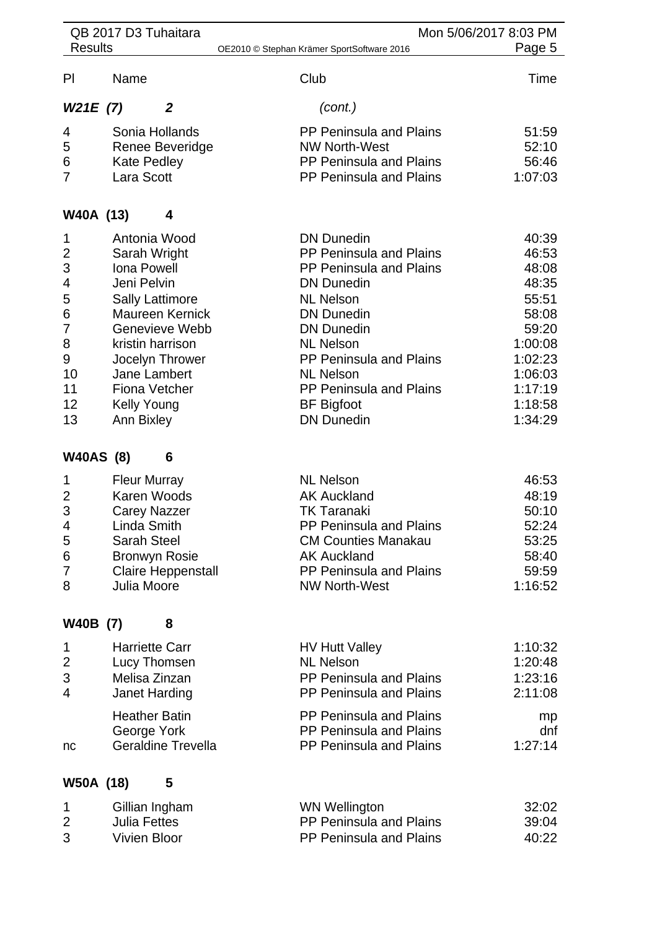| <b>Results</b>   | QB 2017 D3 Tuhaitara      | Mon 5/06/2017 8:03 PM<br>OE2010 © Stephan Krämer SportSoftware 2016 | Page 5             |
|------------------|---------------------------|---------------------------------------------------------------------|--------------------|
|                  |                           |                                                                     |                    |
| PI               | Name                      | Club                                                                | Time               |
| W21E(7)          | $\overline{2}$            | (cont.)                                                             |                    |
| 4                | Sonia Hollands            | <b>PP Peninsula and Plains</b>                                      | 51:59              |
| 5                | Renee Beveridge           | <b>NW North-West</b>                                                | 52:10              |
| 6                | Kate Pedley               | PP Peninsula and Plains                                             | 56:46              |
| 7                | Lara Scott                | PP Peninsula and Plains                                             | 1:07:03            |
| W40A (13)        | 4                         |                                                                     |                    |
| 1                | Antonia Wood              | <b>DN Dunedin</b>                                                   | 40:39              |
| 2                | Sarah Wright              | PP Peninsula and Plains                                             | 46:53              |
| 3                | <b>Iona Powell</b>        | PP Peninsula and Plains                                             | 48:08              |
| 4                | Jeni Pelvin               | <b>DN Dunedin</b>                                                   | 48:35              |
| 5                | <b>Sally Lattimore</b>    | <b>NL Nelson</b>                                                    | 55:51              |
| 6                | <b>Maureen Kernick</b>    | <b>DN Dunedin</b>                                                   | 58:08              |
| 7                | Genevieve Webb            | <b>DN Dunedin</b>                                                   | 59:20              |
| 8                | kristin harrison          | <b>NL Nelson</b>                                                    | 1:00:08            |
| 9                | Jocelyn Thrower           | PP Peninsula and Plains                                             | 1:02:23            |
| 10               | Jane Lambert              | <b>NL Nelson</b>                                                    | 1:06:03            |
| 11<br>12         | <b>Fiona Vetcher</b>      | PP Peninsula and Plains                                             | 1:17:19            |
| 13               | <b>Kelly Young</b>        | <b>BF</b> Bigfoot<br><b>DN Dunedin</b>                              | 1:18:58<br>1:34:29 |
|                  | Ann Bixley                |                                                                     |                    |
| <b>W40AS (8)</b> | 6                         |                                                                     |                    |
| 1                | <b>Fleur Murray</b>       | <b>NL Nelson</b>                                                    | 46:53              |
| $\overline{c}$   | Karen Woods               | <b>AK Auckland</b>                                                  | 48:19              |
| 3                | <b>Carey Nazzer</b>       | <b>TK Taranaki</b>                                                  | 50:10              |
| 4                | Linda Smith               | PP Peninsula and Plains                                             | 52:24              |
| 5                | <b>Sarah Steel</b>        | <b>CM Counties Manakau</b>                                          | 53:25              |
| 6                | <b>Bronwyn Rosie</b>      | <b>AK Auckland</b>                                                  | 58:40              |
| 7                | <b>Claire Heppenstall</b> | PP Peninsula and Plains                                             | 59:59              |
| 8                | Julia Moore               | <b>NW North-West</b>                                                | 1:16:52            |
| W40B (7)         | 8                         |                                                                     |                    |
| 1                | <b>Harriette Carr</b>     | <b>HV Hutt Valley</b>                                               | 1:10:32            |
| $\overline{2}$   | Lucy Thomsen              | <b>NL Nelson</b>                                                    | 1:20:48            |
| 3                | Melisa Zinzan             | PP Peninsula and Plains                                             | 1:23:16            |
| 4                | Janet Harding             | PP Peninsula and Plains                                             | 2:11:08            |
|                  | <b>Heather Batin</b>      | PP Peninsula and Plains                                             | mp                 |
|                  | George York               | PP Peninsula and Plains                                             | dnf                |
| nc               | <b>Geraldine Trevella</b> | <b>PP Peninsula and Plains</b>                                      | 1:27:14            |
|                  |                           |                                                                     |                    |
| W50A (18)        | 5                         |                                                                     |                    |

| Gillian Ingham | <b>WN Wellington</b>           | 32:02 |
|----------------|--------------------------------|-------|
| Julia Fettes   | <b>PP Peninsula and Plains</b> | 39:04 |
| Vivien Bloor   | <b>PP Peninsula and Plains</b> | 40:22 |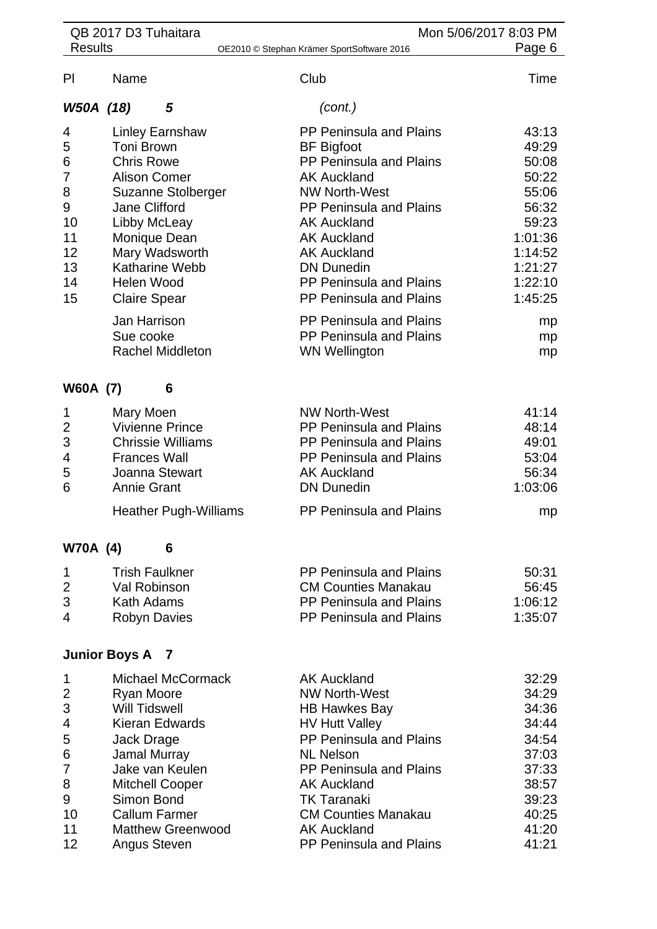|                                                                | QB 2017 D3 Tuhaitara                                                                                                                                                                                                                                                                            |                                                                                                                                                                                                                                                                                                                                                                                                  | Mon 5/06/2017 8:03 PM                                                                                                                |
|----------------------------------------------------------------|-------------------------------------------------------------------------------------------------------------------------------------------------------------------------------------------------------------------------------------------------------------------------------------------------|--------------------------------------------------------------------------------------------------------------------------------------------------------------------------------------------------------------------------------------------------------------------------------------------------------------------------------------------------------------------------------------------------|--------------------------------------------------------------------------------------------------------------------------------------|
| <b>Results</b>                                                 |                                                                                                                                                                                                                                                                                                 | OE2010 © Stephan Krämer SportSoftware 2016                                                                                                                                                                                                                                                                                                                                                       | Page 6                                                                                                                               |
| P <sub>l</sub>                                                 | Name                                                                                                                                                                                                                                                                                            | Club                                                                                                                                                                                                                                                                                                                                                                                             | Time                                                                                                                                 |
| W50A (18)                                                      | 5                                                                                                                                                                                                                                                                                               | (cont.)                                                                                                                                                                                                                                                                                                                                                                                          |                                                                                                                                      |
| 4<br>5<br>6<br>7<br>8<br>9<br>10<br>11<br>12<br>13<br>14<br>15 | <b>Linley Earnshaw</b><br>Toni Brown<br><b>Chris Rowe</b><br><b>Alison Comer</b><br>Suzanne Stolberger<br><b>Jane Clifford</b><br>Libby McLeay<br>Monique Dean<br>Mary Wadsworth<br><b>Katharine Webb</b><br>Helen Wood<br><b>Claire Spear</b><br>Jan Harrison<br>Sue cooke<br>Rachel Middleton | <b>PP Peninsula and Plains</b><br><b>BF</b> Bigfoot<br>PP Peninsula and Plains<br><b>AK Auckland</b><br><b>NW North-West</b><br>PP Peninsula and Plains<br><b>AK Auckland</b><br><b>AK Auckland</b><br><b>AK Auckland</b><br><b>DN Dunedin</b><br>PP Peninsula and Plains<br>PP Peninsula and Plains<br><b>PP Peninsula and Plains</b><br><b>PP Peninsula and Plains</b><br><b>WN Wellington</b> | 43:13<br>49:29<br>50:08<br>50:22<br>55:06<br>56:32<br>59:23<br>1:01:36<br>1:14:52<br>1:21:27<br>1:22:10<br>1:45:25<br>mp<br>mp<br>mp |
| W60A (7)                                                       | 6                                                                                                                                                                                                                                                                                               |                                                                                                                                                                                                                                                                                                                                                                                                  |                                                                                                                                      |
| 1<br>$\overline{2}$<br>3<br>4<br>5<br>6                        | Mary Moen<br>Vivienne Prince<br><b>Chrissie Williams</b><br><b>Frances Wall</b><br>Joanna Stewart<br><b>Annie Grant</b><br><b>Heather Pugh-Williams</b>                                                                                                                                         | <b>NW North-West</b><br>PP Peninsula and Plains<br>PP Peninsula and Plains<br>PP Peninsula and Plains<br><b>AK Auckland</b><br><b>DN Dunedin</b><br>PP Peninsula and Plains                                                                                                                                                                                                                      | 41:14<br>48:14<br>49:01<br>53:04<br>56:34<br>1:03:06<br>mp                                                                           |
|                                                                |                                                                                                                                                                                                                                                                                                 |                                                                                                                                                                                                                                                                                                                                                                                                  |                                                                                                                                      |
| <b>W70A (4)</b><br>1<br>2<br>3<br>4                            | 6<br><b>Trish Faulkner</b><br>Val Robinson<br><b>Kath Adams</b><br><b>Robyn Davies</b><br><b>Junior Boys A</b><br><sup>7</sup>                                                                                                                                                                  | <b>PP Peninsula and Plains</b><br><b>CM Counties Manakau</b><br>PP Peninsula and Plains<br>PP Peninsula and Plains                                                                                                                                                                                                                                                                               | 50:31<br>56:45<br>1:06:12<br>1:35:07                                                                                                 |
|                                                                |                                                                                                                                                                                                                                                                                                 |                                                                                                                                                                                                                                                                                                                                                                                                  |                                                                                                                                      |
| 1<br>2<br>3<br>4<br>5<br>6<br>7<br>8<br>9<br>10<br>11<br>12    | <b>Michael McCormack</b><br><b>Ryan Moore</b><br><b>Will Tidswell</b><br><b>Kieran Edwards</b><br>Jack Drage<br>Jamal Murray<br>Jake van Keulen<br><b>Mitchell Cooper</b><br>Simon Bond<br><b>Callum Farmer</b><br><b>Matthew Greenwood</b><br>Angus Steven                                     | <b>AK Auckland</b><br><b>NW North-West</b><br><b>HB Hawkes Bay</b><br><b>HV Hutt Valley</b><br>PP Peninsula and Plains<br><b>NL Nelson</b><br><b>PP Peninsula and Plains</b><br><b>AK Auckland</b><br><b>TK Taranaki</b><br><b>CM Counties Manakau</b><br><b>AK Auckland</b><br>PP Peninsula and Plains                                                                                          | 32:29<br>34:29<br>34:36<br>34:44<br>34:54<br>37:03<br>37:33<br>38:57<br>39:23<br>40:25<br>41:20<br>41:21                             |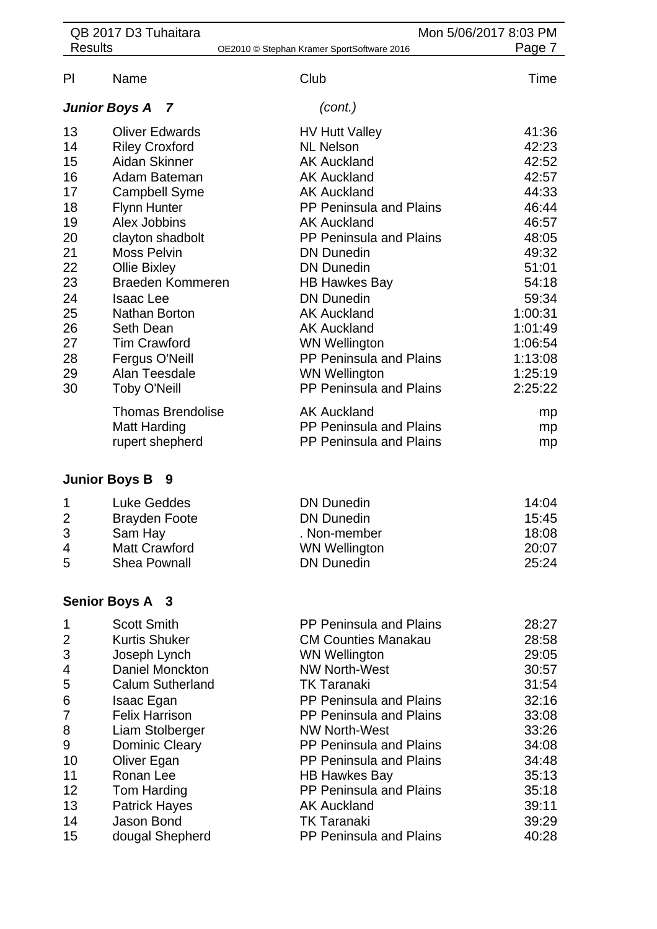| <b>Results</b><br>Page 7<br>OE2010 © Stephan Krämer SportSoftware 2016<br>Name<br>Club<br>Time<br>(cont.)<br><b>Junior Boys A</b><br>7<br>13<br><b>Oliver Edwards</b><br><b>HV Hutt Valley</b><br>41:36<br>14<br><b>Riley Croxford</b><br><b>NL Nelson</b><br>42:23<br>15<br><b>Aidan Skinner</b><br>42:52<br><b>AK Auckland</b><br>16<br>42:57<br>Adam Bateman<br><b>AK Auckland</b><br>17<br>44:33<br><b>Campbell Syme</b><br><b>AK Auckland</b><br>18<br><b>Flynn Hunter</b><br><b>PP Peninsula and Plains</b><br>46:44<br>19<br>Alex Jobbins<br><b>AK Auckland</b><br>46:57<br>PP Peninsula and Plains<br>48:05<br>clayton shadbolt<br>49:32<br><b>Moss Pelvin</b><br><b>DN Dunedin</b><br>51:01<br>Ollie Bixley<br><b>DN Dunedin</b><br>Braeden Kommeren<br><b>HB Hawkes Bay</b><br>54:18<br><b>Isaac Lee</b><br><b>DN Dunedin</b><br>59:34<br>1:00:31<br>Nathan Borton<br><b>AK Auckland</b><br><b>Seth Dean</b><br><b>AK Auckland</b><br>1:01:49<br><b>Tim Crawford</b><br><b>WN Wellington</b><br>1:06:54<br>PP Peninsula and Plains<br>Fergus O'Neill<br>1:13:08<br>Alan Teesdale<br>1:25:19<br><b>WN Wellington</b><br><b>Toby O'Neill</b><br>PP Peninsula and Plains<br>2:25:22<br><b>Thomas Brendolise</b><br><b>AK Auckland</b><br>mp<br>PP Peninsula and Plains<br><b>Matt Harding</b><br>mp<br>rupert shepherd<br><b>PP Peninsula and Plains</b><br>mp<br>- 9<br><b>Luke Geddes</b><br><b>DN Dunedin</b><br>14:04<br>1<br><b>DN Dunedin</b><br>15:45<br><b>Brayden Foote</b><br>Sam Hay<br>. Non-member<br>18:08<br><b>Matt Crawford</b><br><b>WN Wellington</b><br>20:07<br><b>Shea Pownall</b><br><b>DN Dunedin</b><br>25:24<br><b>Scott Smith</b><br><b>PP Peninsula and Plains</b><br>28:27<br>1<br><b>Kurtis Shuker</b><br><b>CM Counties Manakau</b><br>28:58<br>Joseph Lynch<br><b>WN Wellington</b><br>29:05<br>Daniel Monckton<br><b>NW North-West</b><br>30:57<br><b>Calum Sutherland</b><br><b>TK Taranaki</b><br>31:54<br>PP Peninsula and Plains<br>32:16<br>Isaac Egan<br><b>Felix Harrison</b><br><b>PP Peninsula and Plains</b><br>33:08<br>33:26<br>Liam Stolberger<br><b>NW North-West</b><br><b>PP Peninsula and Plains</b><br>34:08<br><b>Dominic Cleary</b><br>PP Peninsula and Plains<br>10<br>Oliver Egan<br>34:48<br>11<br>Ronan Lee<br>35:13<br><b>HB Hawkes Bay</b><br>12<br>PP Peninsula and Plains<br>Tom Harding<br>35:18<br>13<br><b>AK Auckland</b><br>39:11<br><b>Patrick Hayes</b><br>14<br>Jason Bond<br><b>TK Taranaki</b><br>39:29 | PI<br>20<br>21<br>22<br>23<br>24<br>25<br>26<br>27<br>28<br>29<br>30<br><b>Junior Boys B</b><br>$\overline{2}$<br>3<br>4<br>5<br><b>Senior Boys A 3</b><br>2<br>3<br>4<br>5<br>6<br>7<br>8<br>9 | QB 2017 D3 Tuhaitara | Mon 5/06/2017 8:03 PM |  |
|---------------------------------------------------------------------------------------------------------------------------------------------------------------------------------------------------------------------------------------------------------------------------------------------------------------------------------------------------------------------------------------------------------------------------------------------------------------------------------------------------------------------------------------------------------------------------------------------------------------------------------------------------------------------------------------------------------------------------------------------------------------------------------------------------------------------------------------------------------------------------------------------------------------------------------------------------------------------------------------------------------------------------------------------------------------------------------------------------------------------------------------------------------------------------------------------------------------------------------------------------------------------------------------------------------------------------------------------------------------------------------------------------------------------------------------------------------------------------------------------------------------------------------------------------------------------------------------------------------------------------------------------------------------------------------------------------------------------------------------------------------------------------------------------------------------------------------------------------------------------------------------------------------------------------------------------------------------------------------------------------------------------------------------------------------------------------------------------------------------------------------------------------------------------------------------------------------------------------------------------------------------------------------------------------------------------------------------------------------------------------------------------------------------------------------------------------------------------------------------|-------------------------------------------------------------------------------------------------------------------------------------------------------------------------------------------------|----------------------|-----------------------|--|
|                                                                                                                                                                                                                                                                                                                                                                                                                                                                                                                                                                                                                                                                                                                                                                                                                                                                                                                                                                                                                                                                                                                                                                                                                                                                                                                                                                                                                                                                                                                                                                                                                                                                                                                                                                                                                                                                                                                                                                                                                                                                                                                                                                                                                                                                                                                                                                                                                                                                                       |                                                                                                                                                                                                 |                      |                       |  |
|                                                                                                                                                                                                                                                                                                                                                                                                                                                                                                                                                                                                                                                                                                                                                                                                                                                                                                                                                                                                                                                                                                                                                                                                                                                                                                                                                                                                                                                                                                                                                                                                                                                                                                                                                                                                                                                                                                                                                                                                                                                                                                                                                                                                                                                                                                                                                                                                                                                                                       |                                                                                                                                                                                                 |                      |                       |  |
|                                                                                                                                                                                                                                                                                                                                                                                                                                                                                                                                                                                                                                                                                                                                                                                                                                                                                                                                                                                                                                                                                                                                                                                                                                                                                                                                                                                                                                                                                                                                                                                                                                                                                                                                                                                                                                                                                                                                                                                                                                                                                                                                                                                                                                                                                                                                                                                                                                                                                       |                                                                                                                                                                                                 |                      |                       |  |
|                                                                                                                                                                                                                                                                                                                                                                                                                                                                                                                                                                                                                                                                                                                                                                                                                                                                                                                                                                                                                                                                                                                                                                                                                                                                                                                                                                                                                                                                                                                                                                                                                                                                                                                                                                                                                                                                                                                                                                                                                                                                                                                                                                                                                                                                                                                                                                                                                                                                                       |                                                                                                                                                                                                 |                      |                       |  |
|                                                                                                                                                                                                                                                                                                                                                                                                                                                                                                                                                                                                                                                                                                                                                                                                                                                                                                                                                                                                                                                                                                                                                                                                                                                                                                                                                                                                                                                                                                                                                                                                                                                                                                                                                                                                                                                                                                                                                                                                                                                                                                                                                                                                                                                                                                                                                                                                                                                                                       |                                                                                                                                                                                                 |                      |                       |  |
|                                                                                                                                                                                                                                                                                                                                                                                                                                                                                                                                                                                                                                                                                                                                                                                                                                                                                                                                                                                                                                                                                                                                                                                                                                                                                                                                                                                                                                                                                                                                                                                                                                                                                                                                                                                                                                                                                                                                                                                                                                                                                                                                                                                                                                                                                                                                                                                                                                                                                       |                                                                                                                                                                                                 |                      |                       |  |
|                                                                                                                                                                                                                                                                                                                                                                                                                                                                                                                                                                                                                                                                                                                                                                                                                                                                                                                                                                                                                                                                                                                                                                                                                                                                                                                                                                                                                                                                                                                                                                                                                                                                                                                                                                                                                                                                                                                                                                                                                                                                                                                                                                                                                                                                                                                                                                                                                                                                                       |                                                                                                                                                                                                 |                      |                       |  |
|                                                                                                                                                                                                                                                                                                                                                                                                                                                                                                                                                                                                                                                                                                                                                                                                                                                                                                                                                                                                                                                                                                                                                                                                                                                                                                                                                                                                                                                                                                                                                                                                                                                                                                                                                                                                                                                                                                                                                                                                                                                                                                                                                                                                                                                                                                                                                                                                                                                                                       |                                                                                                                                                                                                 |                      |                       |  |
|                                                                                                                                                                                                                                                                                                                                                                                                                                                                                                                                                                                                                                                                                                                                                                                                                                                                                                                                                                                                                                                                                                                                                                                                                                                                                                                                                                                                                                                                                                                                                                                                                                                                                                                                                                                                                                                                                                                                                                                                                                                                                                                                                                                                                                                                                                                                                                                                                                                                                       |                                                                                                                                                                                                 |                      |                       |  |
|                                                                                                                                                                                                                                                                                                                                                                                                                                                                                                                                                                                                                                                                                                                                                                                                                                                                                                                                                                                                                                                                                                                                                                                                                                                                                                                                                                                                                                                                                                                                                                                                                                                                                                                                                                                                                                                                                                                                                                                                                                                                                                                                                                                                                                                                                                                                                                                                                                                                                       |                                                                                                                                                                                                 |                      |                       |  |
|                                                                                                                                                                                                                                                                                                                                                                                                                                                                                                                                                                                                                                                                                                                                                                                                                                                                                                                                                                                                                                                                                                                                                                                                                                                                                                                                                                                                                                                                                                                                                                                                                                                                                                                                                                                                                                                                                                                                                                                                                                                                                                                                                                                                                                                                                                                                                                                                                                                                                       |                                                                                                                                                                                                 |                      |                       |  |
|                                                                                                                                                                                                                                                                                                                                                                                                                                                                                                                                                                                                                                                                                                                                                                                                                                                                                                                                                                                                                                                                                                                                                                                                                                                                                                                                                                                                                                                                                                                                                                                                                                                                                                                                                                                                                                                                                                                                                                                                                                                                                                                                                                                                                                                                                                                                                                                                                                                                                       |                                                                                                                                                                                                 |                      |                       |  |
|                                                                                                                                                                                                                                                                                                                                                                                                                                                                                                                                                                                                                                                                                                                                                                                                                                                                                                                                                                                                                                                                                                                                                                                                                                                                                                                                                                                                                                                                                                                                                                                                                                                                                                                                                                                                                                                                                                                                                                                                                                                                                                                                                                                                                                                                                                                                                                                                                                                                                       |                                                                                                                                                                                                 |                      |                       |  |
|                                                                                                                                                                                                                                                                                                                                                                                                                                                                                                                                                                                                                                                                                                                                                                                                                                                                                                                                                                                                                                                                                                                                                                                                                                                                                                                                                                                                                                                                                                                                                                                                                                                                                                                                                                                                                                                                                                                                                                                                                                                                                                                                                                                                                                                                                                                                                                                                                                                                                       |                                                                                                                                                                                                 |                      |                       |  |
|                                                                                                                                                                                                                                                                                                                                                                                                                                                                                                                                                                                                                                                                                                                                                                                                                                                                                                                                                                                                                                                                                                                                                                                                                                                                                                                                                                                                                                                                                                                                                                                                                                                                                                                                                                                                                                                                                                                                                                                                                                                                                                                                                                                                                                                                                                                                                                                                                                                                                       |                                                                                                                                                                                                 |                      |                       |  |
|                                                                                                                                                                                                                                                                                                                                                                                                                                                                                                                                                                                                                                                                                                                                                                                                                                                                                                                                                                                                                                                                                                                                                                                                                                                                                                                                                                                                                                                                                                                                                                                                                                                                                                                                                                                                                                                                                                                                                                                                                                                                                                                                                                                                                                                                                                                                                                                                                                                                                       |                                                                                                                                                                                                 |                      |                       |  |
|                                                                                                                                                                                                                                                                                                                                                                                                                                                                                                                                                                                                                                                                                                                                                                                                                                                                                                                                                                                                                                                                                                                                                                                                                                                                                                                                                                                                                                                                                                                                                                                                                                                                                                                                                                                                                                                                                                                                                                                                                                                                                                                                                                                                                                                                                                                                                                                                                                                                                       |                                                                                                                                                                                                 |                      |                       |  |
|                                                                                                                                                                                                                                                                                                                                                                                                                                                                                                                                                                                                                                                                                                                                                                                                                                                                                                                                                                                                                                                                                                                                                                                                                                                                                                                                                                                                                                                                                                                                                                                                                                                                                                                                                                                                                                                                                                                                                                                                                                                                                                                                                                                                                                                                                                                                                                                                                                                                                       |                                                                                                                                                                                                 |                      |                       |  |
|                                                                                                                                                                                                                                                                                                                                                                                                                                                                                                                                                                                                                                                                                                                                                                                                                                                                                                                                                                                                                                                                                                                                                                                                                                                                                                                                                                                                                                                                                                                                                                                                                                                                                                                                                                                                                                                                                                                                                                                                                                                                                                                                                                                                                                                                                                                                                                                                                                                                                       |                                                                                                                                                                                                 |                      |                       |  |
|                                                                                                                                                                                                                                                                                                                                                                                                                                                                                                                                                                                                                                                                                                                                                                                                                                                                                                                                                                                                                                                                                                                                                                                                                                                                                                                                                                                                                                                                                                                                                                                                                                                                                                                                                                                                                                                                                                                                                                                                                                                                                                                                                                                                                                                                                                                                                                                                                                                                                       |                                                                                                                                                                                                 |                      |                       |  |
|                                                                                                                                                                                                                                                                                                                                                                                                                                                                                                                                                                                                                                                                                                                                                                                                                                                                                                                                                                                                                                                                                                                                                                                                                                                                                                                                                                                                                                                                                                                                                                                                                                                                                                                                                                                                                                                                                                                                                                                                                                                                                                                                                                                                                                                                                                                                                                                                                                                                                       |                                                                                                                                                                                                 |                      |                       |  |
|                                                                                                                                                                                                                                                                                                                                                                                                                                                                                                                                                                                                                                                                                                                                                                                                                                                                                                                                                                                                                                                                                                                                                                                                                                                                                                                                                                                                                                                                                                                                                                                                                                                                                                                                                                                                                                                                                                                                                                                                                                                                                                                                                                                                                                                                                                                                                                                                                                                                                       |                                                                                                                                                                                                 |                      |                       |  |
|                                                                                                                                                                                                                                                                                                                                                                                                                                                                                                                                                                                                                                                                                                                                                                                                                                                                                                                                                                                                                                                                                                                                                                                                                                                                                                                                                                                                                                                                                                                                                                                                                                                                                                                                                                                                                                                                                                                                                                                                                                                                                                                                                                                                                                                                                                                                                                                                                                                                                       |                                                                                                                                                                                                 |                      |                       |  |
|                                                                                                                                                                                                                                                                                                                                                                                                                                                                                                                                                                                                                                                                                                                                                                                                                                                                                                                                                                                                                                                                                                                                                                                                                                                                                                                                                                                                                                                                                                                                                                                                                                                                                                                                                                                                                                                                                                                                                                                                                                                                                                                                                                                                                                                                                                                                                                                                                                                                                       |                                                                                                                                                                                                 |                      |                       |  |
|                                                                                                                                                                                                                                                                                                                                                                                                                                                                                                                                                                                                                                                                                                                                                                                                                                                                                                                                                                                                                                                                                                                                                                                                                                                                                                                                                                                                                                                                                                                                                                                                                                                                                                                                                                                                                                                                                                                                                                                                                                                                                                                                                                                                                                                                                                                                                                                                                                                                                       |                                                                                                                                                                                                 |                      |                       |  |
|                                                                                                                                                                                                                                                                                                                                                                                                                                                                                                                                                                                                                                                                                                                                                                                                                                                                                                                                                                                                                                                                                                                                                                                                                                                                                                                                                                                                                                                                                                                                                                                                                                                                                                                                                                                                                                                                                                                                                                                                                                                                                                                                                                                                                                                                                                                                                                                                                                                                                       |                                                                                                                                                                                                 |                      |                       |  |
|                                                                                                                                                                                                                                                                                                                                                                                                                                                                                                                                                                                                                                                                                                                                                                                                                                                                                                                                                                                                                                                                                                                                                                                                                                                                                                                                                                                                                                                                                                                                                                                                                                                                                                                                                                                                                                                                                                                                                                                                                                                                                                                                                                                                                                                                                                                                                                                                                                                                                       |                                                                                                                                                                                                 |                      |                       |  |
|                                                                                                                                                                                                                                                                                                                                                                                                                                                                                                                                                                                                                                                                                                                                                                                                                                                                                                                                                                                                                                                                                                                                                                                                                                                                                                                                                                                                                                                                                                                                                                                                                                                                                                                                                                                                                                                                                                                                                                                                                                                                                                                                                                                                                                                                                                                                                                                                                                                                                       |                                                                                                                                                                                                 |                      |                       |  |
|                                                                                                                                                                                                                                                                                                                                                                                                                                                                                                                                                                                                                                                                                                                                                                                                                                                                                                                                                                                                                                                                                                                                                                                                                                                                                                                                                                                                                                                                                                                                                                                                                                                                                                                                                                                                                                                                                                                                                                                                                                                                                                                                                                                                                                                                                                                                                                                                                                                                                       |                                                                                                                                                                                                 |                      |                       |  |
|                                                                                                                                                                                                                                                                                                                                                                                                                                                                                                                                                                                                                                                                                                                                                                                                                                                                                                                                                                                                                                                                                                                                                                                                                                                                                                                                                                                                                                                                                                                                                                                                                                                                                                                                                                                                                                                                                                                                                                                                                                                                                                                                                                                                                                                                                                                                                                                                                                                                                       |                                                                                                                                                                                                 |                      |                       |  |
|                                                                                                                                                                                                                                                                                                                                                                                                                                                                                                                                                                                                                                                                                                                                                                                                                                                                                                                                                                                                                                                                                                                                                                                                                                                                                                                                                                                                                                                                                                                                                                                                                                                                                                                                                                                                                                                                                                                                                                                                                                                                                                                                                                                                                                                                                                                                                                                                                                                                                       |                                                                                                                                                                                                 |                      |                       |  |
|                                                                                                                                                                                                                                                                                                                                                                                                                                                                                                                                                                                                                                                                                                                                                                                                                                                                                                                                                                                                                                                                                                                                                                                                                                                                                                                                                                                                                                                                                                                                                                                                                                                                                                                                                                                                                                                                                                                                                                                                                                                                                                                                                                                                                                                                                                                                                                                                                                                                                       |                                                                                                                                                                                                 |                      |                       |  |
|                                                                                                                                                                                                                                                                                                                                                                                                                                                                                                                                                                                                                                                                                                                                                                                                                                                                                                                                                                                                                                                                                                                                                                                                                                                                                                                                                                                                                                                                                                                                                                                                                                                                                                                                                                                                                                                                                                                                                                                                                                                                                                                                                                                                                                                                                                                                                                                                                                                                                       |                                                                                                                                                                                                 |                      |                       |  |
|                                                                                                                                                                                                                                                                                                                                                                                                                                                                                                                                                                                                                                                                                                                                                                                                                                                                                                                                                                                                                                                                                                                                                                                                                                                                                                                                                                                                                                                                                                                                                                                                                                                                                                                                                                                                                                                                                                                                                                                                                                                                                                                                                                                                                                                                                                                                                                                                                                                                                       |                                                                                                                                                                                                 |                      |                       |  |
|                                                                                                                                                                                                                                                                                                                                                                                                                                                                                                                                                                                                                                                                                                                                                                                                                                                                                                                                                                                                                                                                                                                                                                                                                                                                                                                                                                                                                                                                                                                                                                                                                                                                                                                                                                                                                                                                                                                                                                                                                                                                                                                                                                                                                                                                                                                                                                                                                                                                                       |                                                                                                                                                                                                 |                      |                       |  |
|                                                                                                                                                                                                                                                                                                                                                                                                                                                                                                                                                                                                                                                                                                                                                                                                                                                                                                                                                                                                                                                                                                                                                                                                                                                                                                                                                                                                                                                                                                                                                                                                                                                                                                                                                                                                                                                                                                                                                                                                                                                                                                                                                                                                                                                                                                                                                                                                                                                                                       |                                                                                                                                                                                                 |                      |                       |  |
|                                                                                                                                                                                                                                                                                                                                                                                                                                                                                                                                                                                                                                                                                                                                                                                                                                                                                                                                                                                                                                                                                                                                                                                                                                                                                                                                                                                                                                                                                                                                                                                                                                                                                                                                                                                                                                                                                                                                                                                                                                                                                                                                                                                                                                                                                                                                                                                                                                                                                       |                                                                                                                                                                                                 |                      |                       |  |
|                                                                                                                                                                                                                                                                                                                                                                                                                                                                                                                                                                                                                                                                                                                                                                                                                                                                                                                                                                                                                                                                                                                                                                                                                                                                                                                                                                                                                                                                                                                                                                                                                                                                                                                                                                                                                                                                                                                                                                                                                                                                                                                                                                                                                                                                                                                                                                                                                                                                                       |                                                                                                                                                                                                 |                      |                       |  |
|                                                                                                                                                                                                                                                                                                                                                                                                                                                                                                                                                                                                                                                                                                                                                                                                                                                                                                                                                                                                                                                                                                                                                                                                                                                                                                                                                                                                                                                                                                                                                                                                                                                                                                                                                                                                                                                                                                                                                                                                                                                                                                                                                                                                                                                                                                                                                                                                                                                                                       |                                                                                                                                                                                                 |                      |                       |  |
|                                                                                                                                                                                                                                                                                                                                                                                                                                                                                                                                                                                                                                                                                                                                                                                                                                                                                                                                                                                                                                                                                                                                                                                                                                                                                                                                                                                                                                                                                                                                                                                                                                                                                                                                                                                                                                                                                                                                                                                                                                                                                                                                                                                                                                                                                                                                                                                                                                                                                       |                                                                                                                                                                                                 |                      |                       |  |
|                                                                                                                                                                                                                                                                                                                                                                                                                                                                                                                                                                                                                                                                                                                                                                                                                                                                                                                                                                                                                                                                                                                                                                                                                                                                                                                                                                                                                                                                                                                                                                                                                                                                                                                                                                                                                                                                                                                                                                                                                                                                                                                                                                                                                                                                                                                                                                                                                                                                                       |                                                                                                                                                                                                 |                      |                       |  |
|                                                                                                                                                                                                                                                                                                                                                                                                                                                                                                                                                                                                                                                                                                                                                                                                                                                                                                                                                                                                                                                                                                                                                                                                                                                                                                                                                                                                                                                                                                                                                                                                                                                                                                                                                                                                                                                                                                                                                                                                                                                                                                                                                                                                                                                                                                                                                                                                                                                                                       |                                                                                                                                                                                                 |                      |                       |  |
|                                                                                                                                                                                                                                                                                                                                                                                                                                                                                                                                                                                                                                                                                                                                                                                                                                                                                                                                                                                                                                                                                                                                                                                                                                                                                                                                                                                                                                                                                                                                                                                                                                                                                                                                                                                                                                                                                                                                                                                                                                                                                                                                                                                                                                                                                                                                                                                                                                                                                       |                                                                                                                                                                                                 |                      |                       |  |
|                                                                                                                                                                                                                                                                                                                                                                                                                                                                                                                                                                                                                                                                                                                                                                                                                                                                                                                                                                                                                                                                                                                                                                                                                                                                                                                                                                                                                                                                                                                                                                                                                                                                                                                                                                                                                                                                                                                                                                                                                                                                                                                                                                                                                                                                                                                                                                                                                                                                                       |                                                                                                                                                                                                 |                      |                       |  |
|                                                                                                                                                                                                                                                                                                                                                                                                                                                                                                                                                                                                                                                                                                                                                                                                                                                                                                                                                                                                                                                                                                                                                                                                                                                                                                                                                                                                                                                                                                                                                                                                                                                                                                                                                                                                                                                                                                                                                                                                                                                                                                                                                                                                                                                                                                                                                                                                                                                                                       |                                                                                                                                                                                                 |                      |                       |  |
| 15<br>dougal Shepherd<br>PP Peninsula and Plains<br>40:28                                                                                                                                                                                                                                                                                                                                                                                                                                                                                                                                                                                                                                                                                                                                                                                                                                                                                                                                                                                                                                                                                                                                                                                                                                                                                                                                                                                                                                                                                                                                                                                                                                                                                                                                                                                                                                                                                                                                                                                                                                                                                                                                                                                                                                                                                                                                                                                                                             |                                                                                                                                                                                                 |                      |                       |  |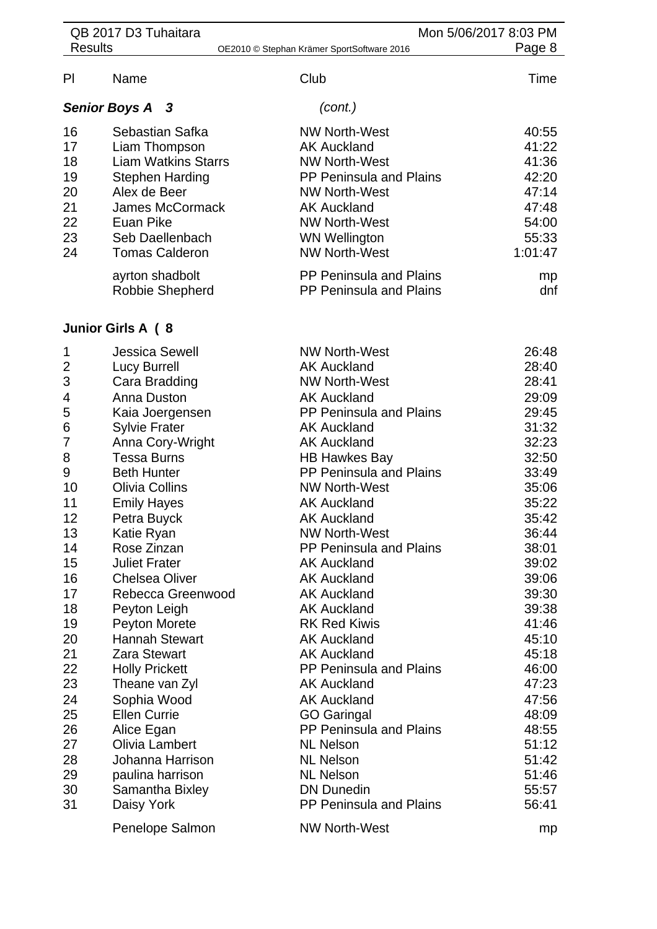| <b>Results</b>                                                                                                     | QB 2017 D3 Tuhaitara                                                                                                                                                                                                                                                                                                                                                                                               | Mon 5/06/2017 8:03 PM<br>Page 8<br>OE2010 © Stephan Krämer SportSoftware 2016                                                                                                                                                                                                                                                                                                                                                                                                         |                                                                                                                                                                         |
|--------------------------------------------------------------------------------------------------------------------|--------------------------------------------------------------------------------------------------------------------------------------------------------------------------------------------------------------------------------------------------------------------------------------------------------------------------------------------------------------------------------------------------------------------|---------------------------------------------------------------------------------------------------------------------------------------------------------------------------------------------------------------------------------------------------------------------------------------------------------------------------------------------------------------------------------------------------------------------------------------------------------------------------------------|-------------------------------------------------------------------------------------------------------------------------------------------------------------------------|
| PI                                                                                                                 | Name                                                                                                                                                                                                                                                                                                                                                                                                               | Club                                                                                                                                                                                                                                                                                                                                                                                                                                                                                  | Time                                                                                                                                                                    |
|                                                                                                                    | <b>Senior Boys A</b><br>- 3                                                                                                                                                                                                                                                                                                                                                                                        | (cont.)                                                                                                                                                                                                                                                                                                                                                                                                                                                                               |                                                                                                                                                                         |
| 16<br>17<br>18<br>19<br>20<br>21<br>22<br>23<br>24                                                                 | Sebastian Safka<br>Liam Thompson<br><b>Liam Watkins Starrs</b><br><b>Stephen Harding</b><br>Alex de Beer<br>James McCormack<br>Euan Pike<br>Seb Daellenbach<br><b>Tomas Calderon</b>                                                                                                                                                                                                                               | <b>NW North-West</b><br><b>AK Auckland</b><br><b>NW North-West</b><br>PP Peninsula and Plains<br><b>NW North-West</b><br><b>AK Auckland</b><br><b>NW North-West</b><br><b>WN Wellington</b><br><b>NW North-West</b>                                                                                                                                                                                                                                                                   | 40:55<br>41:22<br>41:36<br>42:20<br>47:14<br>47:48<br>54:00<br>55:33<br>1:01:47                                                                                         |
|                                                                                                                    | ayrton shadbolt<br>Robbie Shepherd                                                                                                                                                                                                                                                                                                                                                                                 | <b>PP Peninsula and Plains</b><br><b>PP Peninsula and Plains</b>                                                                                                                                                                                                                                                                                                                                                                                                                      | mp<br>dnf                                                                                                                                                               |
|                                                                                                                    | Junior Girls A (8                                                                                                                                                                                                                                                                                                                                                                                                  |                                                                                                                                                                                                                                                                                                                                                                                                                                                                                       |                                                                                                                                                                         |
| 1<br>$\overline{c}$<br>3<br>4<br>5<br>6<br>7<br>8<br>9<br>10<br>11<br>12<br>13<br>14<br>15<br>16<br>17<br>18<br>19 | <b>Jessica Sewell</b><br><b>Lucy Burrell</b><br>Cara Bradding<br>Anna Duston<br>Kaia Joergensen<br><b>Sylvie Frater</b><br>Anna Cory-Wright<br><b>Tessa Burns</b><br><b>Beth Hunter</b><br><b>Olivia Collins</b><br><b>Emily Hayes</b><br>Petra Buyck<br>Katie Ryan<br>Rose Zinzan<br><b>Juliet Frater</b><br><b>Chelsea Oliver</b><br>Rebecca Greenwood<br>Peyton Leigh<br>Peyton Morete<br><b>Hannah Stewart</b> | <b>NW North-West</b><br><b>AK Auckland</b><br><b>NW North-West</b><br><b>AK Auckland</b><br>PP Peninsula and Plains<br><b>AK Auckland</b><br><b>AK Auckland</b><br><b>HB Hawkes Bay</b><br>PP Peninsula and Plains<br><b>NW North-West</b><br><b>AK Auckland</b><br><b>AK Auckland</b><br><b>NW North-West</b><br><b>PP Peninsula and Plains</b><br><b>AK Auckland</b><br><b>AK Auckland</b><br><b>AK Auckland</b><br><b>AK Auckland</b><br><b>RK Red Kiwis</b><br><b>AK Auckland</b> | 26:48<br>28:40<br>28:41<br>29:09<br>29:45<br>31:32<br>32:23<br>32:50<br>33:49<br>35:06<br>35:22<br>35:42<br>36:44<br>38:01<br>39:02<br>39:06<br>39:30<br>39:38<br>41:46 |
| 20<br>21<br>22<br>23<br>24<br>25<br>26<br>27<br>28<br>29<br>30<br>31                                               | <b>Zara Stewart</b><br><b>Holly Prickett</b><br>Theane van Zyl<br>Sophia Wood<br><b>Ellen Currie</b><br>Alice Egan<br>Olivia Lambert<br>Johanna Harrison<br>paulina harrison<br>Samantha Bixley<br>Daisy York                                                                                                                                                                                                      | <b>AK Auckland</b><br><b>PP Peninsula and Plains</b><br><b>AK Auckland</b><br><b>AK Auckland</b><br><b>GO Garingal</b><br><b>PP Peninsula and Plains</b><br><b>NL Nelson</b><br><b>NL Nelson</b><br><b>NL Nelson</b><br><b>DN Dunedin</b><br><b>PP Peninsula and Plains</b>                                                                                                                                                                                                           | 45:10<br>45:18<br>46:00<br>47:23<br>47:56<br>48:09<br>48:55<br>51:12<br>51:42<br>51:46<br>55:57<br>56:41                                                                |

Penelope Salmon MW North-West mp mp